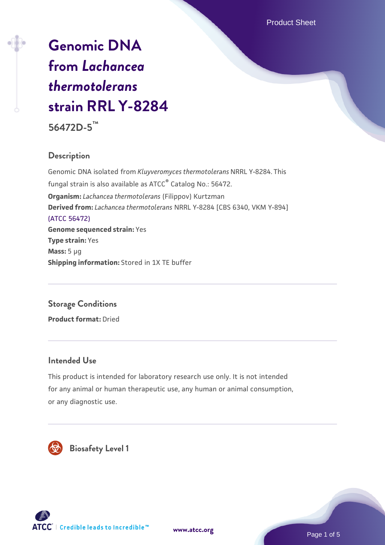# **[Genomic DNA](https://www.atcc.org/products/56472d-5) [from](https://www.atcc.org/products/56472d-5)** *[Lachancea](https://www.atcc.org/products/56472d-5) [thermotolerans](https://www.atcc.org/products/56472d-5)* **[strain RRL Y-8284](https://www.atcc.org/products/56472d-5) 56472D-5™**

### **Description**

Genomic DNA isolated from *Kluyveromyces thermotolerans* NRRL Y-8284. This fungal strain is also available as ATCC® Catalog No.: 56472. **Organism:** *Lachancea thermotolerans* (Filippov) Kurtzman **Derived from:** *Lachancea thermotolerans* NRRL Y-8284 [CBS 6340, VKM Y-894] [\(ATCC 56472\)](https://www.atcc.org/products/56472) **Genome sequenced strain:** Yes **Type strain:** Yes **Mass:** 5 µg **Shipping information:** Stored in 1X TE buffer

# **Storage Conditions**

**Product format:** Dried

#### **Intended Use**

This product is intended for laboratory research use only. It is not intended for any animal or human therapeutic use, any human or animal consumption, or any diagnostic use.



 **Biosafety Level 1**





Page 1 of 5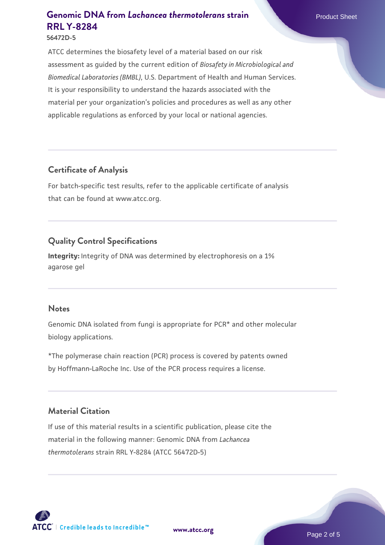**56472D-5**

ATCC determines the biosafety level of a material based on our risk assessment as guided by the current edition of *Biosafety in Microbiological and Biomedical Laboratories (BMBL)*, U.S. Department of Health and Human Services. It is your responsibility to understand the hazards associated with the material per your organization's policies and procedures as well as any other applicable regulations as enforced by your local or national agencies.

### **Certificate of Analysis**

For batch-specific test results, refer to the applicable certificate of analysis that can be found at www.atcc.org.

## **Quality Control Specifications**

**Integrity:** Integrity of DNA was determined by electrophoresis on a 1% agarose gel

#### **Notes**

Genomic DNA isolated from fungi is appropriate for PCR\* and other molecular biology applications.

\*The polymerase chain reaction (PCR) process is covered by patents owned by Hoffmann-LaRoche Inc. Use of the PCR process requires a license.

#### **Material Citation**

If use of this material results in a scientific publication, please cite the material in the following manner: Genomic DNA from *Lachancea thermotolerans* strain RRL Y-8284 (ATCC 56472D-5)

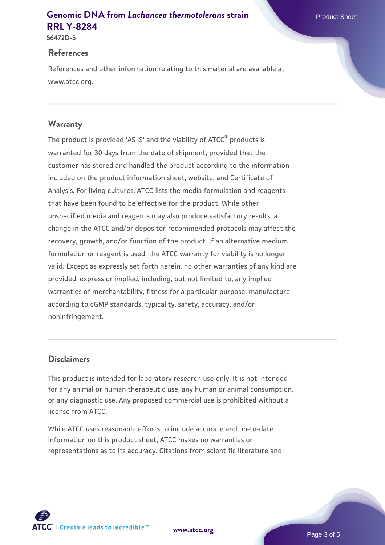**56472D-5**

### **References**

References and other information relating to this material are available at www.atcc.org.

### **Warranty**

The product is provided 'AS IS' and the viability of ATCC® products is warranted for 30 days from the date of shipment, provided that the customer has stored and handled the product according to the information included on the product information sheet, website, and Certificate of Analysis. For living cultures, ATCC lists the media formulation and reagents that have been found to be effective for the product. While other unspecified media and reagents may also produce satisfactory results, a change in the ATCC and/or depositor-recommended protocols may affect the recovery, growth, and/or function of the product. If an alternative medium formulation or reagent is used, the ATCC warranty for viability is no longer valid. Except as expressly set forth herein, no other warranties of any kind are provided, express or implied, including, but not limited to, any implied warranties of merchantability, fitness for a particular purpose, manufacture according to cGMP standards, typicality, safety, accuracy, and/or noninfringement.

### **Disclaimers**

This product is intended for laboratory research use only. It is not intended for any animal or human therapeutic use, any human or animal consumption, or any diagnostic use. Any proposed commercial use is prohibited without a license from ATCC.

While ATCC uses reasonable efforts to include accurate and up-to-date information on this product sheet, ATCC makes no warranties or representations as to its accuracy. Citations from scientific literature and





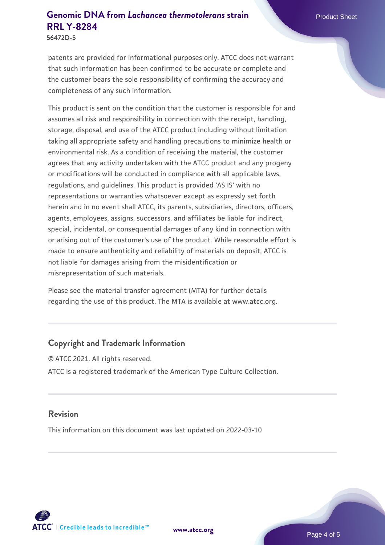**56472D-5**

patents are provided for informational purposes only. ATCC does not warrant that such information has been confirmed to be accurate or complete and the customer bears the sole responsibility of confirming the accuracy and completeness of any such information.

This product is sent on the condition that the customer is responsible for and assumes all risk and responsibility in connection with the receipt, handling, storage, disposal, and use of the ATCC product including without limitation taking all appropriate safety and handling precautions to minimize health or environmental risk. As a condition of receiving the material, the customer agrees that any activity undertaken with the ATCC product and any progeny or modifications will be conducted in compliance with all applicable laws, regulations, and guidelines. This product is provided 'AS IS' with no representations or warranties whatsoever except as expressly set forth herein and in no event shall ATCC, its parents, subsidiaries, directors, officers, agents, employees, assigns, successors, and affiliates be liable for indirect, special, incidental, or consequential damages of any kind in connection with or arising out of the customer's use of the product. While reasonable effort is made to ensure authenticity and reliability of materials on deposit, ATCC is not liable for damages arising from the misidentification or misrepresentation of such materials.

Please see the material transfer agreement (MTA) for further details regarding the use of this product. The MTA is available at www.atcc.org.

### **Copyright and Trademark Information**

© ATCC 2021. All rights reserved. ATCC is a registered trademark of the American Type Culture Collection.

#### **Revision**

This information on this document was last updated on 2022-03-10



**[www.atcc.org](http://www.atcc.org)**